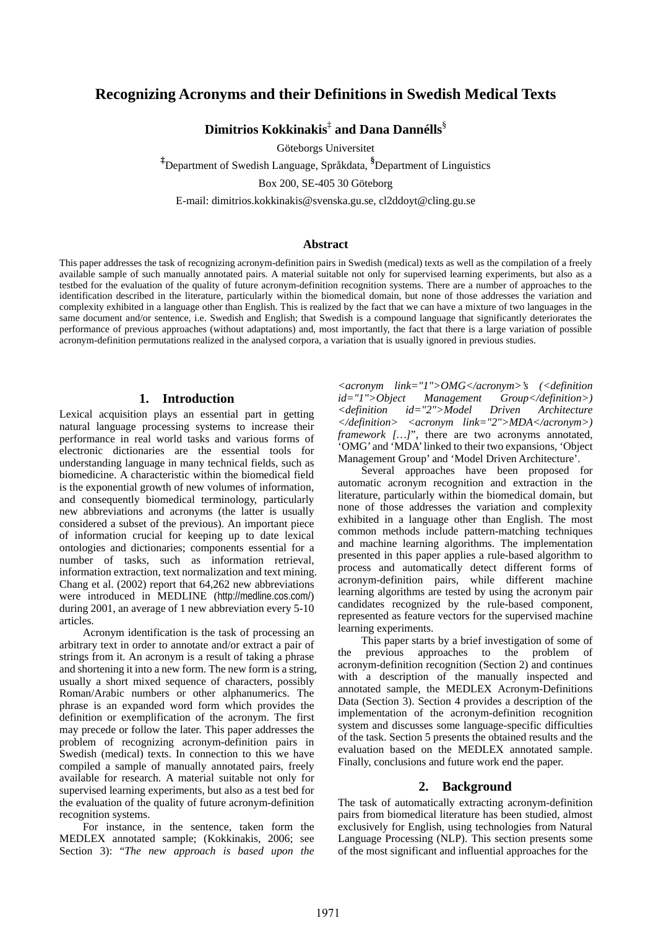# **Recognizing Acronyms and their Definitions in Swedish Medical Texts**

**Dimitrios Kokkinakis**‡  **and Dana Dannélls**§

Göteborgs Universitet

**‡** Department of Swedish Language, Språkdata, **§** Department of Linguistics

Box 200, SE-405 30 Göteborg

E-mail: dimitrios.kokkinakis@svenska.gu.se, cl2ddoyt@cling.gu.se

#### **Abstract**

This paper addresses the task of recognizing acronym-definition pairs in Swedish (medical) texts as well as the compilation of a freely available sample of such manually annotated pairs. A material suitable not only for supervised learning experiments, but also as a testbed for the evaluation of the quality of future acronym-definition recognition systems. There are a number of approaches to the identification described in the literature, particularly within the biomedical domain, but none of those addresses the variation and complexity exhibited in a language other than English. This is realized by the fact that we can have a mixture of two languages in the same document and/or sentence, i.e. Swedish and English; that Swedish is a compound language that significantly deteriorates the performance of previous approaches (without adaptations) and, most importantly, the fact that there is a large variation of possible acronym-definition permutations realized in the analysed corpora, a variation that is usually ignored in previous studies.

### **1. Introduction**

Lexical acquisition plays an essential part in getting natural language processing systems to increase their performance in real world tasks and various forms of electronic dictionaries are the essential tools for understanding language in many technical fields, such as biomedicine. A characteristic within the biomedical field is the exponential growth of new volumes of information, and consequently biomedical terminology, particularly new abbreviations and acronyms (the latter is usually considered a subset of the previous). An important piece of information crucial for keeping up to date lexical ontologies and dictionaries; components essential for a number of tasks, such as information retrieval, information extraction, text normalization and text mining. Chang et al. (2002) report that 64,262 new abbreviations were introduced in MEDLINE (http://medline.cos.com/) during 2001, an average of 1 new abbreviation every 5-10 articles.

Acronym identification is the task of processing an arbitrary text in order to annotate and/or extract a pair of strings from it. An acronym is a result of taking a phrase and shortening it into a new form. The new form is a string, usually a short mixed sequence of characters, possibly Roman/Arabic numbers or other alphanumerics. The phrase is an expanded word form which provides the definition or exemplification of the acronym. The first may precede or follow the later. This paper addresses the problem of recognizing acronym-definition pairs in Swedish (medical) texts. In connection to this we have compiled a sample of manually annotated pairs, freely available for research. A material suitable not only for supervised learning experiments, but also as a test bed for the evaluation of the quality of future acronym-definition recognition systems.

For instance, in the sentence, taken form the MEDLEX annotated sample; (Kokkinakis, 2006; see Section 3): "*The new approach is based upon the* 

*<acronym link="1">OMG</acronym>'s (<definition id="1">Object Management Group</definition>) <definition id="2">Model Driven Architecture </definition> <acronym link="2">MDA</acronym>) framework* [...]", there are two acronyms annotated, 'OMG' and 'MDA' linked to their two expansions, 'Object Management Group' and 'Model Driven Architecture'.

Several approaches have been proposed for automatic acronym recognition and extraction in the literature, particularly within the biomedical domain, but none of those addresses the variation and complexity exhibited in a language other than English. The most common methods include pattern-matching techniques and machine learning algorithms. The implementation presented in this paper applies a rule-based algorithm to process and automatically detect different forms of acronym-definition pairs, while different machine learning algorithms are tested by using the acronym pair candidates recognized by the rule-based component, represented as feature vectors for the supervised machine learning experiments.

This paper starts by a brief investigation of some of previous approaches to the problem of acronym-definition recognition (Section 2) and continues with a description of the manually inspected and annotated sample, the MEDLEX Acronym-Definitions Data (Section 3). Section 4 provides a description of the implementation of the acronym-definition recognition system and discusses some language-specific difficulties of the task. Section 5 presents the obtained results and the evaluation based on the MEDLEX annotated sample. Finally, conclusions and future work end the paper.

#### **2. Background**

The task of automatically extracting acronym-definition pairs from biomedical literature has been studied, almost exclusively for English, using technologies from Natural Language Processing (NLP). This section presents some of the most significant and influential approaches for the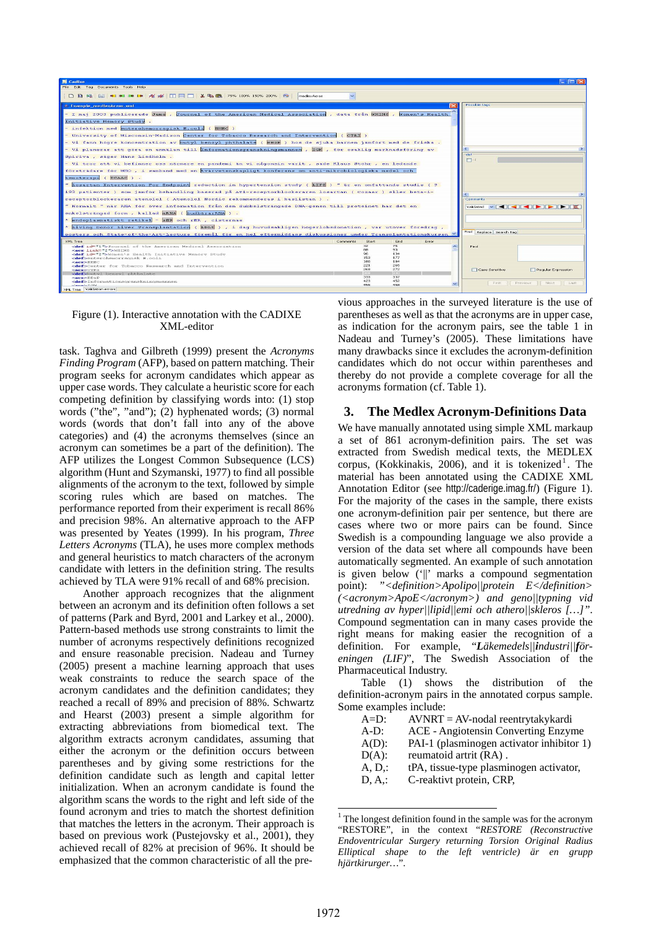

#### Figure (1). Interactive annotation with the CADIXE XML-editor

task. Taghva and Gilbreth (1999) present the *Acronyms Finding Program* (AFP), based on pattern matching. Their program seeks for acronym candidates which appear as upper case words. They calculate a heuristic score for each competing definition by classifying words into: (1) stop words ("the", "and"); (2) hyphenated words; (3) normal words (words that don't fall into any of the above categories) and (4) the acronyms themselves (since an acronym can sometimes be a part of the definition). The AFP utilizes the Longest Common Subsequence (LCS) algorithm (Hunt and Szymanski, 1977) to find all possible alignments of the acronym to the text, followed by simple scoring rules which are based on matches. The performance reported from their experiment is recall 86% and precision 98%. An alternative approach to the AFP was presented by Yeates (1999). In his program, *Three Letters Acronyms* (TLA), he uses more complex methods and general heuristics to match characters of the acronym candidate with letters in the definition string. The results achieved by TLA were 91% recall of and 68% precision.

Another approach recognizes that the alignment between an acronym and its definition often follows a set of patterns (Park and Byrd, 2001 and Larkey et al., 2000). Pattern-based methods use strong constraints to limit the number of acronyms respectively definitions recognized and ensure reasonable precision. Nadeau and Turney (2005) present a machine learning approach that uses weak constraints to reduce the search space of the acronym candidates and the definition candidates; they reached a recall of 89% and precision of 88%. Schwartz and Hearst (2003) present a simple algorithm for extracting abbreviations from biomedical text. The algorithm extracts acronym candidates, assuming that either the acronym or the definition occurs between parentheses and by giving some restrictions for the definition candidate such as length and capital letter initialization. When an acronym candidate is found the algorithm scans the words to the right and left side of the found acronym and tries to match the shortest definition that matches the letters in the acronym. Their approach is based on previous work (Pustejovsky et al., 2001), they achieved recall of 82% at precision of 96%. It should be emphasized that the common characteristic of all the pre-

vious approaches in the surveyed literature is the use of parentheses as well as that the acronyms are in upper case, as indication for the acronym pairs, see the table 1 in Nadeau and Turney's (2005). These limitations have many drawbacks since it excludes the acronym-definition candidates which do not occur within parentheses and thereby do not provide a complete coverage for all the acronyms formation (cf. Table 1).

# **3. The Medlex Acronym-Definitions Data**

We have manually annotated using simple XML markaup a set of 861 acronym-definition pairs. The set was extracted from Swedish medical texts, the MEDLEX corpus, (Kokkinakis, 2006), and it is tokenized<sup>1</sup>[.](#page-1-0) The material has been annotated using the CADIXE XML Annotation Editor (see http://caderige.imag.fr/) (Figure 1). For the majority of the cases in the sample, there exists one acronym-definition pair per sentence, but there are cases where two or more pairs can be found. Since Swedish is a compounding language we also provide a version of the data set where all compounds have been automatically segmented. An example of such annotation is given below ('||' marks a compound segmentation point): *"<definition>Apolipo||protein E</definition> (<acronym>ApoE</acronym>) and geno||typning vid utredning av hyper||lipid||emi och athero||skleros […]"*. Compound segmentation can in many cases provide the right means for making easier the recognition of a definition. For example, "*Läkemedels||industri||föreningen (LIF)*", The Swedish Association of the Pharmaceutical Industry.

Table (1) shows the distribution of the definition-acronym pairs in the annotated corpus sample. Some examples include:

- $A=D$ : AVNRT = AV-nodal reentrytakykardi
- A-D: ACE Angiotensin Converting Enzyme
- A(D): PAI-1 (plasminogen activator inhibitor 1)
- $D(A)$ : reumatoid artrit  $(RA)$ .
- A, D,: tPA, tissue-type plasminogen activator,
- D, A,: C-reaktivt protein, CRP,

<span id="page-1-0"></span> $\frac{1}{1}$  $1$  The longest definition found in the sample was for the acronym "RESTORE", in the context "*RESTORE (Reconstructive Endoventricular Surgery returning Torsion Original Radius Elliptical shape to the left ventricle) är en grupp hjärtkirurger…*".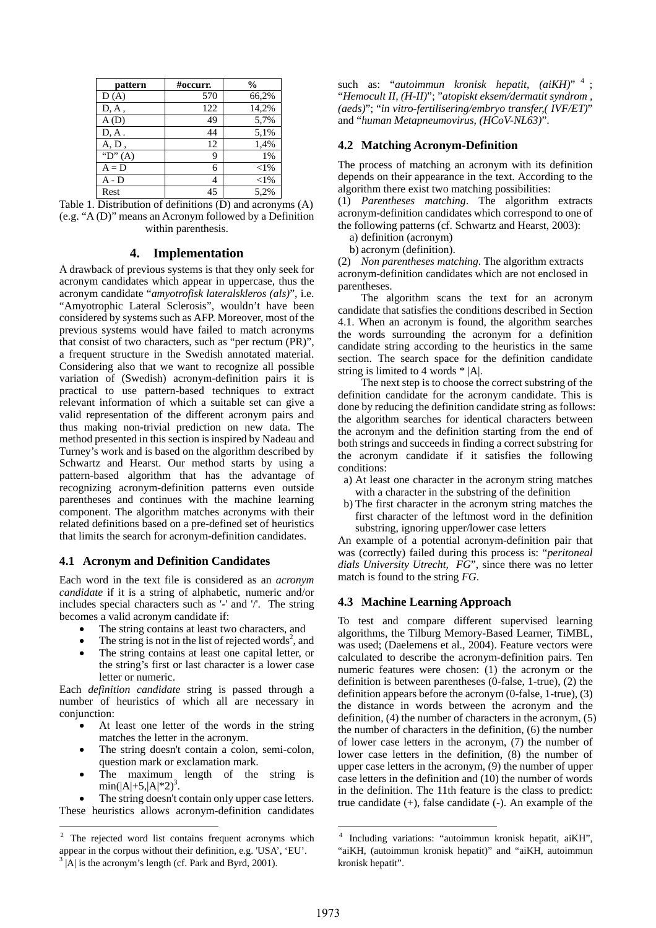| pattern     | #occurr. | $\frac{6}{9}$ |
|-------------|----------|---------------|
| D(A)        | 570      | 66,2%         |
| D, A,       | 122      | 14,2%         |
| A(D)        | 49       | 5,7%          |
| $D, A$ .    | 44       | 5,1%          |
| A, D,       | 12       | 1,4%          |
| " $D$ " (A) | 9        | 1%            |
| $A = D$     | 6        | $<$ 1%        |
| $A - D$     | 4        | $<$ 1%        |
| Rest        | 45       | 5.2%          |

Table 1. Distribution of definitions (D) and acronyms (A) (e.g. "A (D)" means an Acronym followed by a Definition within parenthesis.

#### **4. Implementation**

A drawback of previous systems is that they only seek for acronym candidates which appear in uppercase, thus the acronym candidate "*amyotrofisk lateralskleros (als)*", i.e. "Amyotrophic Lateral Sclerosis", wouldn't have been considered by systems such as AFP. Moreover, most of the previous systems would have failed to match acronyms that consist of two characters, such as "per rectum (PR)", a frequent structure in the Swedish annotated material. Considering also that we want to recognize all possible variation of (Swedish) acronym-definition pairs it is practical to use pattern-based techniques to extract relevant information of which a suitable set can give a valid representation of the different acronym pairs and thus making non-trivial prediction on new data. The method presented in this section is inspired by Nadeau and Turney's work and is based on the algorithm described by Schwartz and Hearst. Our method starts by using a pattern-based algorithm that has the advantage of recognizing acronym-definition patterns even outside parentheses and continues with the machine learning component. The algorithm matches acronyms with their related definitions based on a pre-defined set of heuristics that limits the search for acronym-definition candidates.

#### **4.1 Acronym and Definition Candidates**

Each word in the text file is considered as an *acronym candidate* if it is a string of alphabetic, numeric and/or includes special characters such as '-' and '/'. The string becomes a valid acronym candidate if:

- The string contains at least two characters, and
- The string is not in the list of rejected words<sup>[2](#page-2-0)</sup>, and
- The string contains at least one capital letter, or the string's first or last character is a lower case letter or numeric.

Each *definition candidate* string is passed through a number of heuristics of which all are necessary in conjunction:

- At least one letter of the words in the string matches the letter in the acronym.
- The string doesn't contain a colon, semi-colon, question mark or exclamation mark.
- The maximum length of the string is  $min(|A|+5,|A|*2)^3$  $min(|A|+5,|A|*2)^3$ .

The string doesn't contain only upper case letters. These heuristics allows acronym-definition candidates such as: "*autoimmun kronisk hepatit, (aiKH)*" <sup>4</sup> [;](#page-2-2) "*Hemocult II, (H-II)*"; "*atopiskt eksem/dermatit syndrom , (aeds)*"; "*in vitro-fertilisering/embryo transfer,( IVF/ET)*" and "*human Metapneumovirus, (HCoV-NL63)*".

### **4.2 Matching Acronym-Definition**

The process of matching an acronym with its definition depends on their appearance in the text. According to the algorithm there exist two matching possibilities:

(1) *Parentheses matching*. The algorithm extracts acronym-definition candidates which correspond to one of the following patterns (cf. Schwartz and Hearst, 2003):

a) definition (acronym)

b) acronym (definition).

(2) *Non parentheses matching*. The algorithm extracts acronym-definition candidates which are not enclosed in parentheses.

The algorithm scans the text for an acronym candidate that satisfies the conditions described in Section 4.1. When an acronym is found, the algorithm searches the words surrounding the acronym for a definition candidate string according to the heuristics in the same section. The search space for the definition candidate string is limited to 4 words \* |A|.

The next step is to choose the correct substring of the definition candidate for the acronym candidate. This is done by reducing the definition candidate string as follows: the algorithm searches for identical characters between the acronym and the definition starting from the end of both strings and succeeds in finding a correct substring for the acronym candidate if it satisfies the following conditions:

- a) At least one character in the acronym string matches with a character in the substring of the definition
- b) The first character in the acronym string matches the first character of the leftmost word in the definition substring, ignoring upper/lower case letters

An example of a potential acronym-definition pair that was (correctly) failed during this process is: "*peritoneal dials University Utrecht, FG*", since there was no letter match is found to the string *FG*.

#### **4.3 Machine Learning Approach**

To test and compare different supervised learning algorithms, the Tilburg Memory-Based Learner, TiMBL, was used; (Daelemens et al., 2004). Feature vectors were calculated to describe the acronym-definition pairs. Ten numeric features were chosen: (1) the acronym or the definition is between parentheses (0-false, 1-true), (2) the definition appears before the acronym (0-false, 1-true), (3) the distance in words between the acronym and the definition, (4) the number of characters in the acronym, (5) the number of characters in the definition, (6) the number of lower case letters in the acronym, (7) the number of lower case letters in the definition, (8) the number of upper case letters in the acronym, (9) the number of upper case letters in the definition and (10) the number of words in the definition. The 11th feature is the class to predict: true candidate  $(+)$ , false candidate  $(-)$ . An example of the

1973

<span id="page-2-1"></span><span id="page-2-0"></span><sup>&</sup>lt;sup>2</sup> The rejected word list contains frequent acronyms which appear in the corpus without their definition, e.g. 'USA', 'EU'.  $3$  |A| is the acronym's length (cf. Park and Byrd, 2001).

<span id="page-2-2"></span>Including variations: "autoimmun kronisk hepatit, aiKH", "aiKH, (autoimmun kronisk hepatit)" and "aiKH, autoimmun kronisk hepatit".